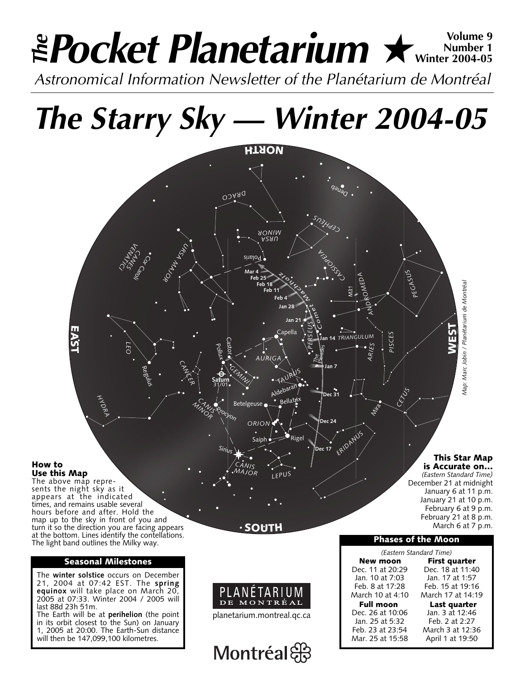# **Pocket Planetarium ★**  $\text{Winkler 1}\n}_{\text{Winkler 1}\n}$ **Number 1** *<del><sup>™</sup></sub></del> Pocket Planetarium ★ ™<sup>Number 1</sup></del>*

*Astronomical Information Newsletter of the Planétarium de Montréal*

*The Starry Sky — Winter 2004-05*



**How to**

The above map represents the night sky as it appears at the indicated times, and remains usable several hours before and after. Hold the map up to the sky in front of you and turn it so the direction you are facing appears at the bottom. Lines identify the contellations. The light band outlines the Milky way.

# **Seasonal Milestones**

The **winter solstice** occurs on December 21, 2004 at 07:42 EST. The **spring equinox** will take place on March 20, 2005 at 07:33. Winter 2004 / 2005 will last 88d 23h 51m.

The Earth will be at **perihelion** (the point in its orbit closest to the Sun) on January 1, 2005 at 20:00. The Earth-Sun distance will then be 147,099,100 kilometres.

**SOUTH**

Saiph

*ORION*

*MAJOR* **LEPUS** 

*CAN*

**Dec 17**

Rigel

**Dec 24**

*ER DANUS CETUS*

M



planetarium.montreal.qc.ca

Montréal

*(Eastern Standard Time)* December 21 at midnight January 6 at 11 p.m. January 21 at 10 p.m.

February 6 at 9 p.m.

**This Star Map is Accurate on…**

**WEST**

*Map: Marc Jobin / Planétarium de Montréal*

Map: Marc Jobin / Planétarium de Montréa

February 21 at 8 p.m. March 6 at 7 p.m.

# **Phases of the Moon**

*(Eastern Standard Time)* **New moon First quarter** Dec. 11 at 20:29 Dec. 18 at 11:40 Jan. 10 at 7:03 Jan. 17 at 1:57 Feb. 8 at 17:28 Feb. 15 at 19:16 March 17 at 14:19 **Full moon Last quarter**<br>ec. 26 at 10:06 Jan. 3 at 12:46 Dec. 26 at 10:06 Jan. 25 at 5:32 Feb. 2 at 2:27 March 3 at 12:36 Mar. 25 at 15:58 April 1 at 19:50